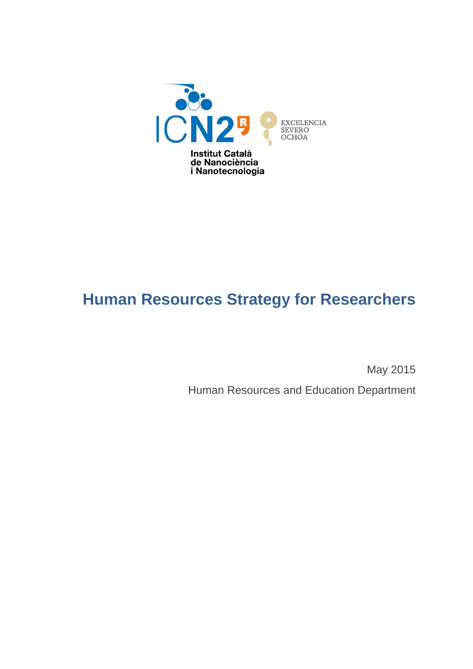

# **Human Resources Strategy for Researchers**

May 2015

Human Resources and Education Department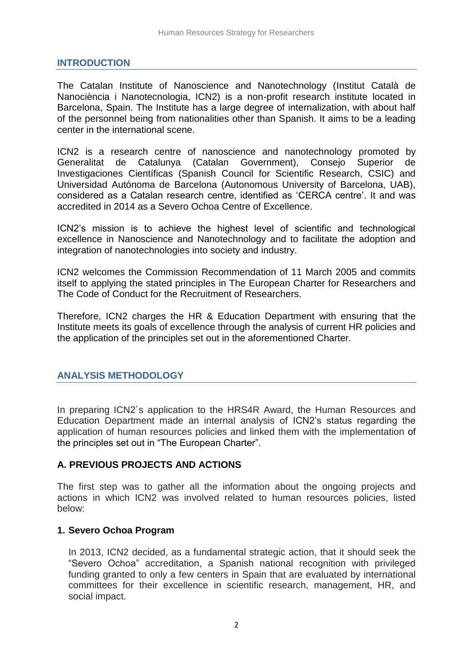#### **INTRODUCTION**

The Catalan Institute of Nanoscience and Nanotechnology (Institut Català de Nanociència i Nanotecnologia, ICN2) is a non-profit research institute located in Barcelona, Spain. The Institute has a large degree of internalization, with about half of the personnel being from nationalities other than Spanish. It aims to be a leading center in the international scene.

ICN2 is a research centre of nanoscience and nanotechnology promoted by Generalitat de Catalunya (Catalan Government), Consejo Superior de Investigaciones Científicas (Spanish Council for Scientific Research, CSIC) and Universidad Autónoma de Barcelona (Autonomous University of Barcelona, UAB), considered as a Catalan research centre, identified as 'CERCA centre'. It and was accredited in 2014 as a Severo Ochoa Centre of Excellence.

ICN2's mission is to achieve the highest level of scientific and technological excellence in Nanoscience and Nanotechnology and to facilitate the adoption and integration of nanotechnologies into society and industry.

ICN2 welcomes the Commission Recommendation of 11 March 2005 and commits itself to applying the stated principles in The European Charter for Researchers and The Code of Conduct for the Recruitment of Researchers.

Therefore, ICN2 charges the HR & Education Department with ensuring that the Institute meets its goals of excellence through the analysis of current HR policies and the application of the principles set out in the aforementioned Charter.

#### **ANALYSIS METHODOLOGY**

In preparing ICN2´s application to the HRS4R Award, the Human Resources and Education Department made an internal analysis of ICN2's status regarding the application of human resources policies and linked them with the implementation of the principles set out in "The European Charter".

## **A. PREVIOUS PROJECTS AND ACTIONS**

The first step was to gather all the information about the ongoing projects and actions in which ICN2 was involved related to human resources policies, listed below:

### **1. Severo Ochoa Program**

In 2013, ICN2 decided, as a fundamental strategic action, that it should seek the "Severo Ochoa" accreditation, a Spanish national recognition with privileged funding granted to only a few centers in Spain that are evaluated by international committees for their excellence in scientific research, management, HR, and social impact.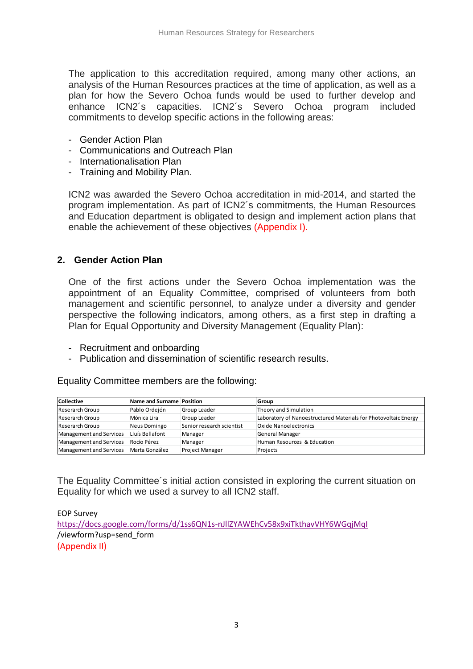The application to this accreditation required, among many other actions, an analysis of the Human Resources practices at the time of application, as well as a plan for how the Severo Ochoa funds would be used to further develop and enhance ICN2´s capacities. ICN2´s Severo Ochoa program included commitments to develop specific actions in the following areas:

- Gender Action Plan
- Communications and Outreach Plan
- Internationalisation Plan
- Training and Mobility Plan.

ICN2 was awarded the Severo Ochoa accreditation in mid-2014, and started the program implementation. As part of ICN2´s commitments, the Human Resources and Education department is obligated to design and implement action plans that enable the achievement of these objectives (Appendix I).

#### **2. Gender Action Plan**

One of the first actions under the Severo Ochoa implementation was the appointment of an Equality Committee, comprised of volunteers from both management and scientific personnel, to analyze under a diversity and gender perspective the following indicators, among others, as a first step in drafting a Plan for Equal Opportunity and Diversity Management (Equality Plan):

- Recruitment and onboarding
- Publication and dissemination of scientific research results.

Equality Committee members are the following:

| <b>Collective</b>       | Name and Surname Position |                           | Group                                                           |
|-------------------------|---------------------------|---------------------------|-----------------------------------------------------------------|
| Reserarch Group         | Pablo Ordejón             | Group Leader              | Theory and Simulation                                           |
| Reserarch Group         | Mónica Lira               | Group Leader              | Laboratory of Nanoestructured Materials for Photovoltaic Energy |
| Reserarch Group         | Neus Domingo              | Senior research scientist | <b>Oxide Nanoelectronics</b>                                    |
| Management and Services | Lluís Bellafont           | Manager                   | <b>General Manager</b>                                          |
| Management and Services | Rocío Pérez               | Manager                   | Human Resources & Education                                     |
| Management and Services | Marta González            | <b>Project Manager</b>    | Projects                                                        |

The Equality Committee´s initial action consisted in exploring the current situation on Equality for which we used a survey to all ICN2 staff.

EOP Survey <https://docs.google.com/forms/d/1ss6QN1s-nJllZYAWEhCv58x9xiTkthavVHY6WGqjMqI> /viewform?usp=send\_form (Appendix II)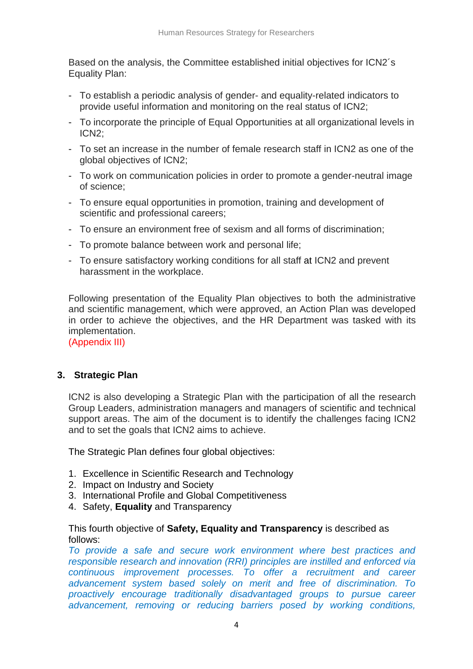Based on the analysis, the Committee established initial objectives for ICN2´s Equality Plan:

- To establish a periodic analysis of gender- and equality-related indicators to provide useful information and monitoring on the real status of ICN2;
- To incorporate the principle of Equal Opportunities at all organizational levels in ICN2;
- To set an increase in the number of female research staff in ICN2 as one of the global objectives of ICN2;
- To work on communication policies in order to promote a gender-neutral image of science;
- To ensure equal opportunities in promotion, training and development of scientific and professional careers;
- To ensure an environment free of sexism and all forms of discrimination;
- To promote balance between work and personal life;
- To ensure satisfactory working conditions for all staff at ICN2 and prevent harassment in the workplace.

Following presentation of the Equality Plan objectives to both the administrative and scientific management, which were approved, an Action Plan was developed in order to achieve the objectives, and the HR Department was tasked with its implementation.

(Appendix III)

#### **3. Strategic Plan**

ICN2 is also developing a Strategic Plan with the participation of all the research Group Leaders, administration managers and managers of scientific and technical support areas. The aim of the document is to identify the challenges facing ICN2 and to set the goals that ICN2 aims to achieve.

The Strategic Plan defines four global objectives:

- 1. Excellence in Scientific Research and Technology
- 2. Impact on Industry and Society
- 3. International Profile and Global Competitiveness
- 4. Safety, **Equality** and Transparency

This fourth objective of **Safety, Equality and Transparency** is described as follows:

*To provide a safe and secure work environment where best practices and responsible research and innovation (RRI) principles are instilled and enforced via continuous improvement processes. To offer a recruitment and career advancement system based solely on merit and free of discrimination. To proactively encourage traditionally disadvantaged groups to pursue career advancement, removing or reducing barriers posed by working conditions,*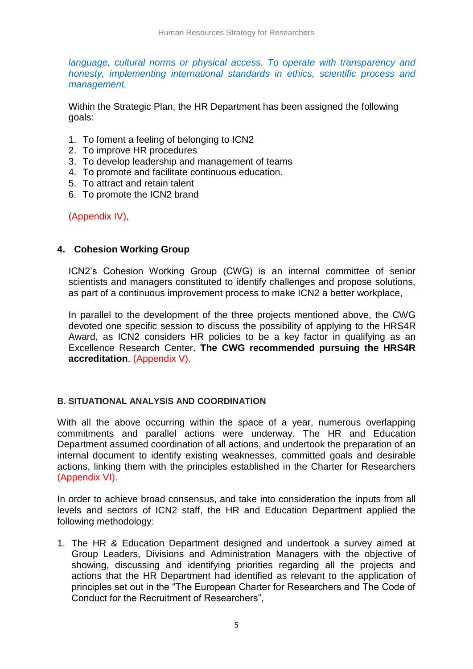*language, cultural norms or physical access. To operate with transparency and honesty, implementing international standards in ethics, scientific process and management.*

Within the Strategic Plan, the HR Department has been assigned the following goals:

- 1. To foment a feeling of belonging to ICN2
- 2. To improve HR procedures
- 3. To develop leadership and management of teams
- 4. To promote and facilitate continuous education.
- 5. To attract and retain talent
- 6. To promote the ICN2 brand

(Appendix IV),

#### **4. Cohesion Working Group**

ICN2's Cohesion Working Group (CWG) is an internal committee of senior scientists and managers constituted to identify challenges and propose solutions, as part of a continuous improvement process to make ICN2 a better workplace,

In parallel to the development of the three projects mentioned above, the CWG devoted one specific session to discuss the possibility of applying to the HRS4R Award, as ICN2 considers HR policies to be a key factor in qualifying as an Excellence Research Center. **The CWG recommended pursuing the HRS4R accreditation**. (Appendix V).

#### **B. SITUATIONAL ANALYSIS AND COORDINATION**

With all the above occurring within the space of a year, numerous overlapping commitments and parallel actions were underway. The HR and Education Department assumed coordination of all actions, and undertook the preparation of an internal document to identify existing weaknesses, committed goals and desirable actions, linking them with the principles established in the Charter for Researchers (Appendix VI).

In order to achieve broad consensus, and take into consideration the inputs from all levels and sectors of ICN2 staff, the HR and Education Department applied the following methodology:

1. The HR & Education Department designed and undertook a survey aimed at Group Leaders, Divisions and Administration Managers with the objective of showing, discussing and identifying priorities regarding all the projects and actions that the HR Department had identified as relevant to the application of principles set out in the "The European Charter for Researchers and The Code of Conduct for the Recruitment of Researchers",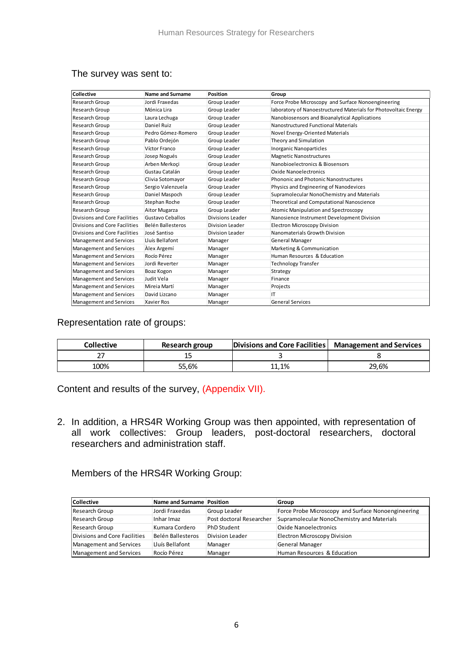| Collective                     | <b>Name and Surname</b> | Position         | Group                                                           |
|--------------------------------|-------------------------|------------------|-----------------------------------------------------------------|
| <b>Research Group</b>          | Jordi Fraxedas          | Group Leader     | Force Probe Microscopy and Surface Nonoengineering              |
| Research Group                 | Mónica Lira             | Group Leader     | laboratory of Nanoestructured Materials for Photovoltaic Energy |
| Research Group                 | Laura Lechuga           | Group Leader     | Nanobiosensors and Bioanalytical Applications                   |
| Research Group                 | <b>Daniel Ruiz</b>      | Group Leader     | Nanostructured Functional Materials                             |
| Research Group                 | Pedro Gómez-Romero      | Group Leader     | Novel Energy-Oriented Materials                                 |
| Research Group                 | Pablo Ordejón           | Group Leader     | Theory and Simulation                                           |
| <b>Research Group</b>          | Víctor Franco           | Group Leader     | Inorganic Nanoparticles                                         |
| Research Group                 | Josep Nogués            | Group Leader     | <b>Magnetic Nanostructures</b>                                  |
| Research Group                 | Arben Merkoci           | Group Leader     | Nanobioelectronics & Biosensors                                 |
| Research Group                 | Gustau Catalán          | Group Leader     | <b>Oxide Nanoelectronics</b>                                    |
| Research Group                 | Clivia Sotomayor        | Group Leader     | Phononic and Photonic Nanostructures                            |
| Research Group                 | Sergio Valenzuela       | Group Leader     | Physics and Engineering of Nanodevices                          |
| <b>Research Group</b>          | Daniel Maspoch          | Group Leader     | Supramolecular NonoChemistry and Materials                      |
| Research Group                 | Stephan Roche           | Group Leader     | Theoretical and Computational Nanoscience                       |
| Research Group                 | Aitor Mugarza           | Group Leader     | Atomic Manipulation and Spectroscopy                            |
| Divisions and Core Facilities  | Gustavo Ceballos        | Divisions Leader | Nanosience Instrument Development Division                      |
| Divisions and Core Facilities  | Belén Ballesteros       | Division Leader  | <b>Electron Microscopy Division</b>                             |
| Divisions and Core Facilities  | José Santiso            | Division Leader  | Nanomaterials Growth Division                                   |
| Management and Services        | Lluís Bellafont         | Manager          | General Manager                                                 |
| <b>Management and Services</b> | Alex Argemí             | Manager          | Marketing & Communication                                       |
| <b>Management and Services</b> | Rocío Pérez             | Manager          | Human Resources & Education                                     |
| <b>Management and Services</b> | Jordi Reverter          | Manager          | <b>Technology Transfer</b>                                      |
| Management and Services        | Boaz Kogon              | Manager          | <b>Strategy</b>                                                 |
| <b>Management and Services</b> | Judit Vela              | Manager          | Finance                                                         |
| <b>Management and Services</b> | Mireja Martí            | Manager          | Projects                                                        |
| <b>Management and Services</b> | David Lizcano           | Manager          | IT                                                              |
| <b>Management and Services</b> | <b>Xavier Ros</b>       | Manager          | <b>General Services</b>                                         |

#### The survey was sent to:

Representation rate of groups:

| <b>Collective</b> | Research group | Divisions and Core Facilities   Management and Services |       |
|-------------------|----------------|---------------------------------------------------------|-------|
|                   |                |                                                         |       |
| 100%              | 55.6%          | .1.1%                                                   | 29.6% |

Content and results of the survey, (Appendix VII).

2. In addition, a HRS4R Working Group was then appointed, with representation of all work collectives: Group leaders, post-doctoral researchers, doctoral researchers and administration staff.

Members of the HRS4R Working Group:

| <b>Collective</b>             | Name and Surname Position |                          | Group                                              |
|-------------------------------|---------------------------|--------------------------|----------------------------------------------------|
| Research Group                | Jordi Fraxedas            | Group Leader             | Force Probe Microscopy and Surface Nonoengineering |
| Research Group                | Inhar Imaz                | Post doctoral Researcher | Supramolecular NonoChemistry and Materials         |
| Research Group                | Kumara Cordero            | <b>PhD Student</b>       | Oxide Nanoelectronics                              |
| Divisions and Core Facilities | Belén Ballesteros         | Division Leader          | <b>Electron Microscopy Division</b>                |
| Management and Services       | Lluís Bellafont           | Manager                  | <b>General Manager</b>                             |
| Management and Services       | Rocío Pérez               | Manager                  | Human Resources & Education                        |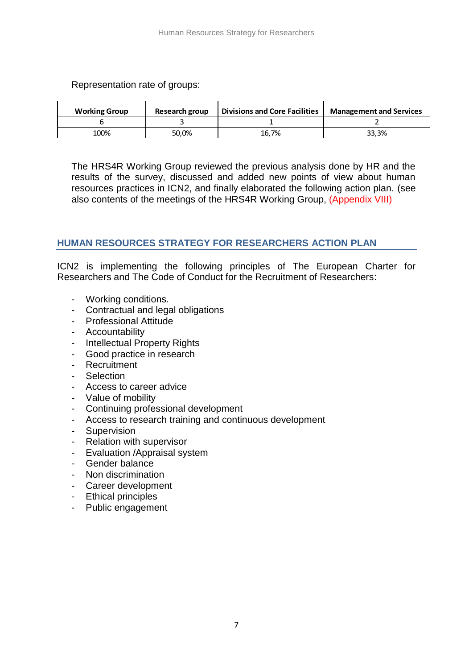Representation rate of groups:

| <b>Working Group</b> | Research group | <b>Divisions and Core Facilities</b> | <b>Management and Services</b> |
|----------------------|----------------|--------------------------------------|--------------------------------|
|                      |                |                                      |                                |
| 100%                 | 50.0%          | 16.7%                                | 33.3%                          |

The HRS4R Working Group reviewed the previous analysis done by HR and the results of the survey, discussed and added new points of view about human resources practices in ICN2, and finally elaborated the following action plan. (see also contents of the meetings of the HRS4R Working Group, (Appendix VIII)

# **HUMAN RESOURCES STRATEGY FOR RESEARCHERS ACTION PLAN**

ICN2 is implementing the following principles of The European Charter for Researchers and The Code of Conduct for the Recruitment of Researchers:

- Working conditions.
- Contractual and legal obligations
- Professional Attitude
- Accountability
- Intellectual Property Rights
- Good practice in research
- **Recruitment**
- Selection
- Access to career advice
- Value of mobility
- Continuing professional development
- Access to research training and continuous development
- Supervision
- Relation with supervisor
- Evaluation /Appraisal system
- Gender balance
- Non discrimination
- Career development
- Ethical principles
- Public engagement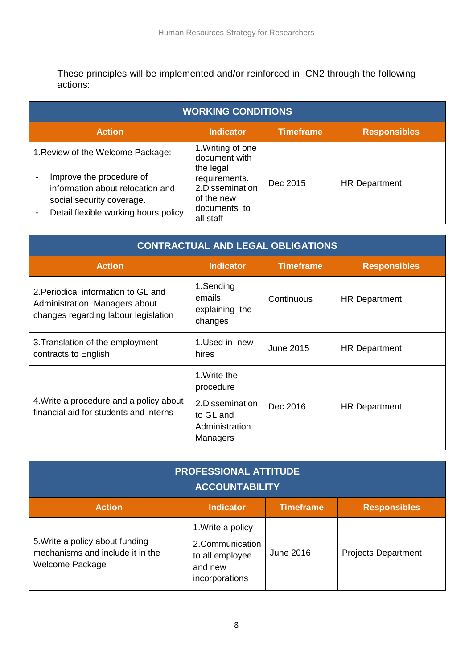These principles will be implemented and/or reinforced in ICN2 through the following actions:

| <b>WORKING CONDITIONS</b>                                                                                                                                               |                                                                                                                                 |                  |                      |  |
|-------------------------------------------------------------------------------------------------------------------------------------------------------------------------|---------------------------------------------------------------------------------------------------------------------------------|------------------|----------------------|--|
| <b>Action</b>                                                                                                                                                           | <b>Indicator</b>                                                                                                                | <b>Timeframe</b> | <b>Responsibles</b>  |  |
| 1. Review of the Welcome Package:<br>Improve the procedure of<br>information about relocation and<br>social security coverage.<br>Detail flexible working hours policy. | 1. Writing of one<br>document with<br>the legal<br>requirements.<br>2. Dissemination<br>of the new<br>documents to<br>all staff | Dec 2015         | <b>HR Department</b> |  |

| <b>CONTRACTUAL AND LEGAL OBLIGATIONS</b>                                                                     |                                                                                          |                  |                      |  |
|--------------------------------------------------------------------------------------------------------------|------------------------------------------------------------------------------------------|------------------|----------------------|--|
| <b>Action</b>                                                                                                | <b>Indicator</b>                                                                         | <b>Timeframe</b> | <b>Responsibles</b>  |  |
| 2. Periodical information to GL and<br>Administration Managers about<br>changes regarding labour legislation | 1.Sending<br>emails<br>explaining the<br>changes                                         | Continuous       | <b>HR Department</b> |  |
| 3. Translation of the employment<br>contracts to English                                                     | 1.Used in new<br>hires                                                                   | <b>June 2015</b> | <b>HR Department</b> |  |
| 4. Write a procedure and a policy about<br>financial aid for students and interns                            | 1. Write the<br>procedure<br>2. Dissemination<br>to GL and<br>Administration<br>Managers | Dec 2016         | <b>HR Department</b> |  |

| <b>PROFESSIONAL ATTITUDE</b><br><b>ACCOUNTABILITY</b>                                  |                                                                                      |                  |                            |  |
|----------------------------------------------------------------------------------------|--------------------------------------------------------------------------------------|------------------|----------------------------|--|
| <b>Action</b>                                                                          | <b>Indicator</b>                                                                     | <b>Timeframe</b> | <b>Responsibles</b>        |  |
| 5. Write a policy about funding<br>mechanisms and include it in the<br>Welcome Package | 1. Write a policy<br>2.Communication<br>to all employee<br>and new<br>incorporations | June 2016        | <b>Projects Department</b> |  |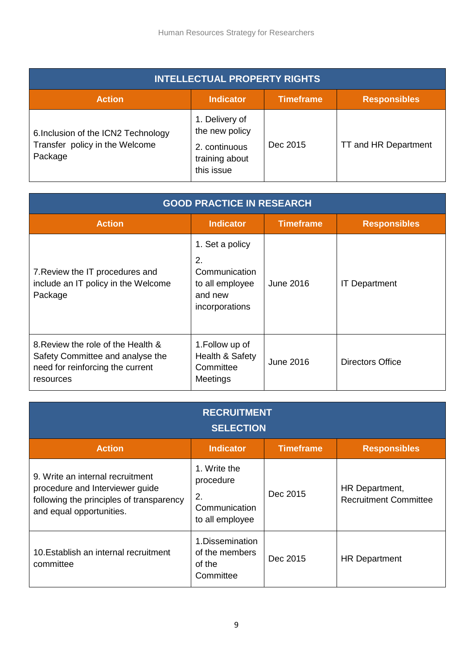| <b>INTELLECTUAL PROPERTY RIGHTS</b>                                              |                                                                                   |                  |                      |  |
|----------------------------------------------------------------------------------|-----------------------------------------------------------------------------------|------------------|----------------------|--|
| <b>Action</b>                                                                    | <b>Indicator</b>                                                                  | <b>Timeframe</b> | <b>Responsibles</b>  |  |
| 6. Inclusion of the ICN2 Technology<br>Transfer policy in the Welcome<br>Package | 1. Delivery of<br>the new policy<br>2. continuous<br>training about<br>this issue | Dec 2015         | TT and HR Department |  |

| <b>GOOD PRACTICE IN RESEARCH</b>                                                                                        |                                                                                        |                  |                      |  |
|-------------------------------------------------------------------------------------------------------------------------|----------------------------------------------------------------------------------------|------------------|----------------------|--|
| <b>Action</b>                                                                                                           | <b>Indicator</b>                                                                       | <b>Timeframe</b> | <b>Responsibles</b>  |  |
| 7. Review the IT procedures and<br>include an IT policy in the Welcome<br>Package                                       | 1. Set a policy<br>2.<br>Communication<br>to all employee<br>and new<br>incorporations | June 2016        | <b>IT Department</b> |  |
| 8. Review the role of the Health &<br>Safety Committee and analyse the<br>need for reinforcing the current<br>resources | 1. Follow up of<br>Health & Safety<br>Committee<br>Meetings                            | June 2016        | Directors Office     |  |

| <b>RECRUITMENT</b><br><b>SELECTION</b>                                                                                                      |                                                                     |                  |                                                |  |
|---------------------------------------------------------------------------------------------------------------------------------------------|---------------------------------------------------------------------|------------------|------------------------------------------------|--|
| <b>Action</b>                                                                                                                               | <b>Indicator</b>                                                    | <b>Timeframe</b> | <b>Responsibles</b>                            |  |
| 9. Write an internal recruitment<br>procedure and Interviewer guide<br>following the principles of transparency<br>and equal opportunities. | 1. Write the<br>procedure<br>2.<br>Communication<br>to all employee | Dec 2015         | HR Department,<br><b>Recruitment Committee</b> |  |
| 10. Establish an internal recruitment<br>committee                                                                                          | 1. Dissemination<br>of the members<br>of the<br>Committee           | Dec 2015         | <b>HR Department</b>                           |  |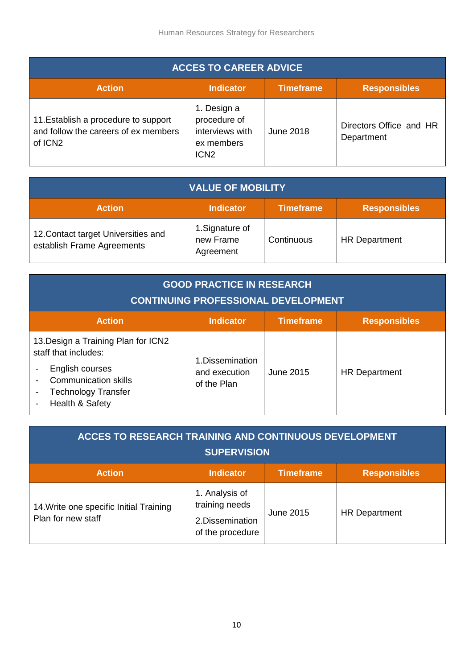| <b>ACCES TO CAREER ADVICE</b>                                                                       |                                                                                  |                  |                                       |  |
|-----------------------------------------------------------------------------------------------------|----------------------------------------------------------------------------------|------------------|---------------------------------------|--|
| <b>Action</b>                                                                                       | <b>Indicator</b>                                                                 | <b>Timeframe</b> | <b>Responsibles</b>                   |  |
| 11. Establish a procedure to support<br>and follow the careers of ex members<br>of ICN <sub>2</sub> | 1. Design a<br>procedure of<br>interviews with<br>ex members<br>ICN <sub>2</sub> | June 2018        | Directors Office and HR<br>Department |  |

| <b>VALUE OF MOBILITY</b>                                                     |                                           |            |                      |  |
|------------------------------------------------------------------------------|-------------------------------------------|------------|----------------------|--|
| <b>Timeframe</b><br><b>Action</b><br><b>Responsibles</b><br><b>Indicator</b> |                                           |            |                      |  |
| 12. Contact target Universities and<br>establish Frame Agreements            | 1. Signature of<br>new Frame<br>Agreement | Continuous | <b>HR Department</b> |  |

| <b>GOOD PRACTICE IN RESEARCH</b><br><b>CONTINUING PROFESSIONAL DEVELOPMENT</b>                                                                                 |                                                  |                  |                      |
|----------------------------------------------------------------------------------------------------------------------------------------------------------------|--------------------------------------------------|------------------|----------------------|
| <b>Action</b>                                                                                                                                                  | <b>Indicator</b>                                 | <b>Timeframe</b> | <b>Responsibles</b>  |
| 13. Design a Training Plan for ICN2<br>staff that includes:<br>English courses<br><b>Communication skills</b><br><b>Technology Transfer</b><br>Health & Safety | 1. Dissemination<br>and execution<br>of the Plan | June 2015        | <b>HR Department</b> |

| <b>ACCES TO RESEARCH TRAINING AND CONTINUOUS DEVELOPMENT</b><br><b>SUPERVISION</b> |                                                                          |           |                      |  |
|------------------------------------------------------------------------------------|--------------------------------------------------------------------------|-----------|----------------------|--|
| <b>Timeframe</b><br><b>Action</b><br><b>Indicator</b><br><b>Responsibles</b>       |                                                                          |           |                      |  |
| 14. Write one specific Initial Training<br>Plan for new staff                      | 1. Analysis of<br>training needs<br>2. Dissemination<br>of the procedure | June 2015 | <b>HR Department</b> |  |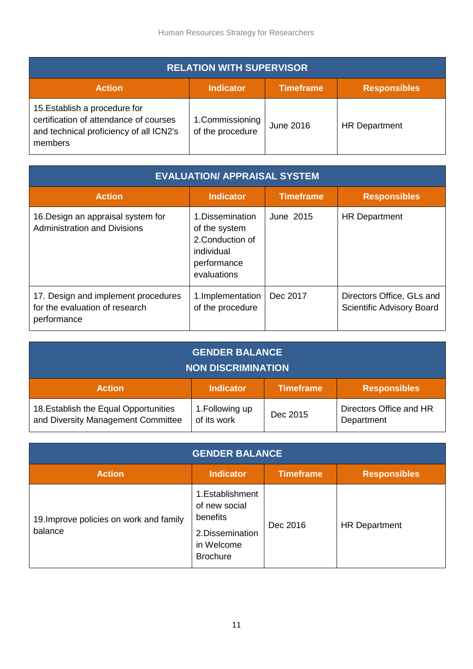| <b>RELATION WITH SUPERVISOR</b>                                                                                               |                                      |                  |                      |
|-------------------------------------------------------------------------------------------------------------------------------|--------------------------------------|------------------|----------------------|
| <b>Action</b>                                                                                                                 | <b>Indicator</b>                     | <b>Timeframe</b> | <b>Responsibles</b>  |
| 15. Establish a procedure for<br>certification of attendance of courses<br>and technical proficiency of all ICN2's<br>members | 1. Commissioning<br>of the procedure | June 2016        | <b>HR Department</b> |

| <b>EVALUATION/ APPRAISAL SYSTEM</b>                                                  |                                                                                                   |                  |                                                        |  |
|--------------------------------------------------------------------------------------|---------------------------------------------------------------------------------------------------|------------------|--------------------------------------------------------|--|
| <b>Action</b>                                                                        | <b>Indicator</b>                                                                                  | <b>Timeframe</b> | <b>Responsibles</b>                                    |  |
| 16. Design an appraisal system for<br><b>Administration and Divisions</b>            | 1. Dissemination<br>of the system<br>2. Conduction of<br>individual<br>performance<br>evaluations | June 2015        | <b>HR Department</b>                                   |  |
| 17. Design and implement procedures<br>for the evaluation of research<br>performance | 1. Implementation<br>of the procedure                                                             | Dec 2017         | Directors Office, GLs and<br>Scientific Advisory Board |  |

| <b>GENDER BALANCE</b><br><b>NON DISCRIMINATION</b>                           |                                |          |                                       |
|------------------------------------------------------------------------------|--------------------------------|----------|---------------------------------------|
| <b>Timeframe</b><br><b>Action</b><br><b>Indicator</b><br><b>Responsibles</b> |                                |          |                                       |
| 18. Establish the Equal Opportunities<br>and Diversity Management Committee  | 1. Following up<br>of its work | Dec 2015 | Directors Office and HR<br>Department |

| <b>GENDER BALANCE</b>                              |                                                                                                    |                  |                      |  |
|----------------------------------------------------|----------------------------------------------------------------------------------------------------|------------------|----------------------|--|
| <b>Action</b>                                      | <b>Indicator</b>                                                                                   | <b>Timeframe</b> | <b>Responsibles</b>  |  |
| 19. Improve policies on work and family<br>balance | 1. Establishment<br>of new social<br>benefits<br>2. Dissemination<br>in Welcome<br><b>Brochure</b> | Dec 2016         | <b>HR Department</b> |  |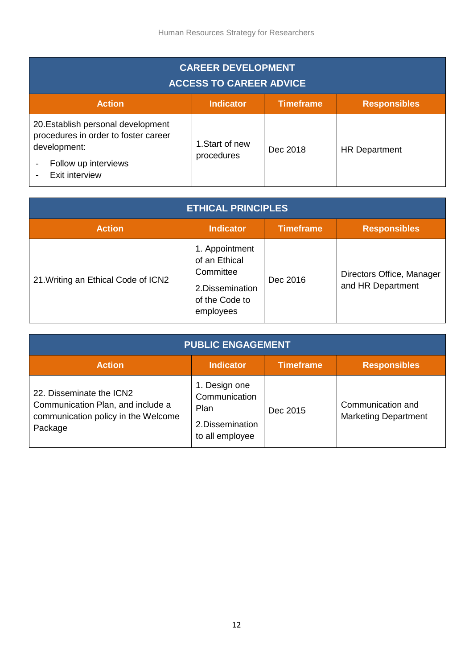| <b>CAREER DEVELOPMENT</b><br><b>ACCESS TO CAREER ADVICE</b>                                                                                                      |                               |          |                      |  |
|------------------------------------------------------------------------------------------------------------------------------------------------------------------|-------------------------------|----------|----------------------|--|
| <b>Timeframe</b><br><b>Action</b><br><b>Indicator</b><br><b>Responsibles</b>                                                                                     |                               |          |                      |  |
| 20. Establish personal development<br>procedures in order to foster career<br>development:<br>Follow up interviews<br>$\overline{\phantom{a}}$<br>Exit interview | 1. Start of new<br>procedures | Dec 2018 | <b>HR Department</b> |  |

| <b>ETHICAL PRINCIPLES</b>           |                                                                                                |                  |                                                |
|-------------------------------------|------------------------------------------------------------------------------------------------|------------------|------------------------------------------------|
| <b>Action</b>                       | <b>Indicator</b>                                                                               | <b>Timeframe</b> | <b>Responsibles</b>                            |
| 21. Writing an Ethical Code of ICN2 | 1. Appointment<br>of an Ethical<br>Committee<br>2.Dissemination<br>of the Code to<br>employees | Dec 2016         | Directors Office, Manager<br>and HR Department |

| <b>PUBLIC ENGAGEMENT</b>                                                                                        |                                                                               |                  |                                                  |
|-----------------------------------------------------------------------------------------------------------------|-------------------------------------------------------------------------------|------------------|--------------------------------------------------|
| <b>Action</b>                                                                                                   | <b>Indicator</b>                                                              | <b>Timeframe</b> | <b>Responsibles</b>                              |
| 22. Disseminate the ICN2<br>Communication Plan, and include a<br>communication policy in the Welcome<br>Package | 1. Design one<br>Communication<br>Plan<br>2. Dissemination<br>to all employee | Dec 2015         | Communication and<br><b>Marketing Department</b> |